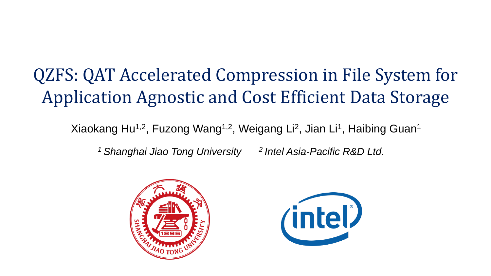## QZFS: QAT Accelerated Compression in File System for Application Agnostic and Cost Efficient Data Storage

Xiaokang Hu<sup>1,2</sup>, Fuzong Wang<sup>1,2</sup>, Weigang Li<sup>2</sup>, Jian Li<sup>1</sup>, Haibing Guan<sup>1</sup>

*<sup>1</sup>Shanghai Jiao Tong University 2 Intel Asia-Pacific R&D Ltd.*



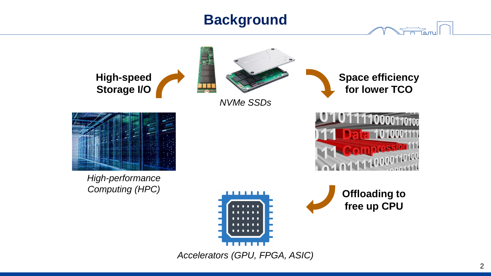## **Background**



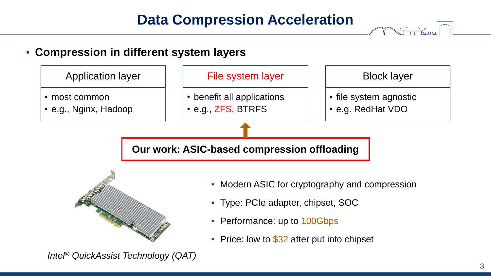## **Data Compression Acceleration**

#### ▪ **Compression in different system layers**





- Modern ASIC for cryptography and compression
- Type: PCIe adapter, chipset, SOC
- Performance: up to 100Gbps
- **•** Price: low to  $$32$  after put into chipset

*Intel® QuickAssist Technology (QAT)*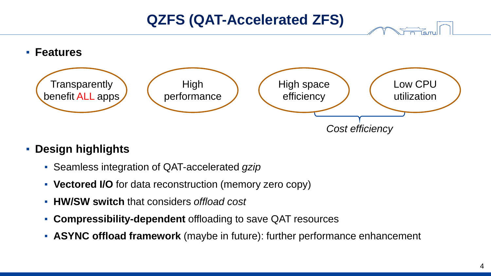### **QZFS (QAT-Accelerated ZFS)**



#### ▪ **Design highlights**

- **EXECTE:** Seamless integration of QAT-accelerated *gzip*
- **Vectored I/O** for data reconstruction (memory zero copy)
- **HW/SW switch** that considers *offload cost*
- **Compressibility-dependent** offloading to save QAT resources
- **ASYNC offload framework** (maybe in future): further performance enhancement